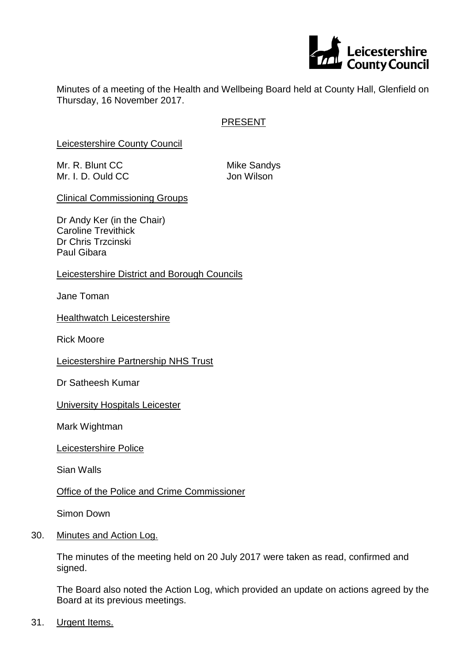

Minutes of a meeting of the Health and Wellbeing Board held at County Hall, Glenfield on Thursday, 16 November 2017.

# PRESENT

Leicestershire County Council

Mr. R. Blunt CC Mike Sandys Mr. I. D. Ould CC Jon Wilson

Clinical Commissioning Groups

Dr Andy Ker (in the Chair) Caroline Trevithick Dr Chris Trzcinski Paul Gibara

Leicestershire District and Borough Councils

Jane Toman

**Healthwatch Leicestershire** 

Rick Moore

Leicestershire Partnership NHS Trust

Dr Satheesh Kumar

University Hospitals Leicester

Mark Wightman

Leicestershire Police

Sian Walls

Office of the Police and Crime Commissioner

Simon Down

30. Minutes and Action Log.

The minutes of the meeting held on 20 July 2017 were taken as read, confirmed and signed.

The Board also noted the Action Log, which provided an update on actions agreed by the Board at its previous meetings.

31. Urgent Items.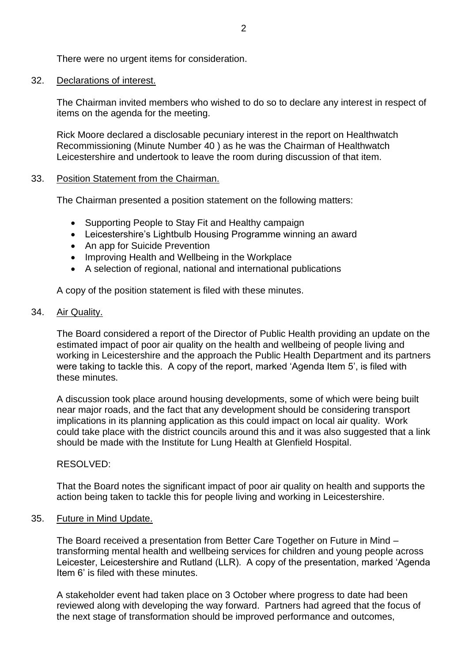There were no urgent items for consideration.

#### 32. Declarations of interest.

The Chairman invited members who wished to do so to declare any interest in respect of items on the agenda for the meeting.

Rick Moore declared a disclosable pecuniary interest in the report on Healthwatch Recommissioning (Minute Number 40 ) as he was the Chairman of Healthwatch Leicestershire and undertook to leave the room during discussion of that item.

### 33. Position Statement from the Chairman.

The Chairman presented a position statement on the following matters:

- Supporting People to Stay Fit and Healthy campaign
- Leicestershire's Lightbulb Housing Programme winning an award
- An app for Suicide Prevention
- Improving Health and Wellbeing in the Workplace
- A selection of regional, national and international publications

A copy of the position statement is filed with these minutes.

### 34. Air Quality.

The Board considered a report of the Director of Public Health providing an update on the estimated impact of poor air quality on the health and wellbeing of people living and working in Leicestershire and the approach the Public Health Department and its partners were taking to tackle this. A copy of the report, marked 'Agenda Item 5', is filed with these minutes.

A discussion took place around housing developments, some of which were being built near major roads, and the fact that any development should be considering transport implications in its planning application as this could impact on local air quality. Work could take place with the district councils around this and it was also suggested that a link should be made with the Institute for Lung Health at Glenfield Hospital.

## RESOLVED:

That the Board notes the significant impact of poor air quality on health and supports the action being taken to tackle this for people living and working in Leicestershire.

## 35. Future in Mind Update.

The Board received a presentation from Better Care Together on Future in Mind – transforming mental health and wellbeing services for children and young people across Leicester, Leicestershire and Rutland (LLR). A copy of the presentation, marked 'Agenda Item 6' is filed with these minutes.

A stakeholder event had taken place on 3 October where progress to date had been reviewed along with developing the way forward. Partners had agreed that the focus of the next stage of transformation should be improved performance and outcomes,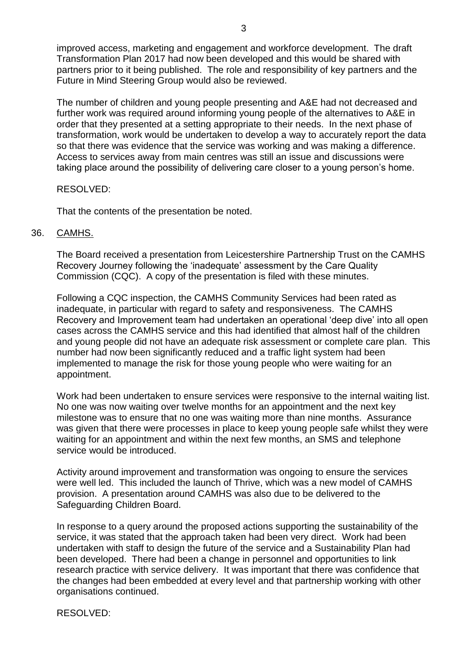improved access, marketing and engagement and workforce development. The draft Transformation Plan 2017 had now been developed and this would be shared with partners prior to it being published. The role and responsibility of key partners and the Future in Mind Steering Group would also be reviewed.

The number of children and young people presenting and A&E had not decreased and further work was required around informing young people of the alternatives to A&E in order that they presented at a setting appropriate to their needs. In the next phase of transformation, work would be undertaken to develop a way to accurately report the data so that there was evidence that the service was working and was making a difference. Access to services away from main centres was still an issue and discussions were taking place around the possibility of delivering care closer to a young person's home.

### RESOLVED:

That the contents of the presentation be noted.

### 36. CAMHS.

The Board received a presentation from Leicestershire Partnership Trust on the CAMHS Recovery Journey following the 'inadequate' assessment by the Care Quality Commission (CQC). A copy of the presentation is filed with these minutes.

Following a CQC inspection, the CAMHS Community Services had been rated as inadequate, in particular with regard to safety and responsiveness. The CAMHS Recovery and Improvement team had undertaken an operational 'deep dive' into all open cases across the CAMHS service and this had identified that almost half of the children and young people did not have an adequate risk assessment or complete care plan. This number had now been significantly reduced and a traffic light system had been implemented to manage the risk for those young people who were waiting for an appointment.

Work had been undertaken to ensure services were responsive to the internal waiting list. No one was now waiting over twelve months for an appointment and the next key milestone was to ensure that no one was waiting more than nine months. Assurance was given that there were processes in place to keep young people safe whilst they were waiting for an appointment and within the next few months, an SMS and telephone service would be introduced.

Activity around improvement and transformation was ongoing to ensure the services were well led. This included the launch of Thrive, which was a new model of CAMHS provision. A presentation around CAMHS was also due to be delivered to the Safeguarding Children Board.

In response to a query around the proposed actions supporting the sustainability of the service, it was stated that the approach taken had been very direct. Work had been undertaken with staff to design the future of the service and a Sustainability Plan had been developed. There had been a change in personnel and opportunities to link research practice with service delivery. It was important that there was confidence that the changes had been embedded at every level and that partnership working with other organisations continued.

RESOLVED: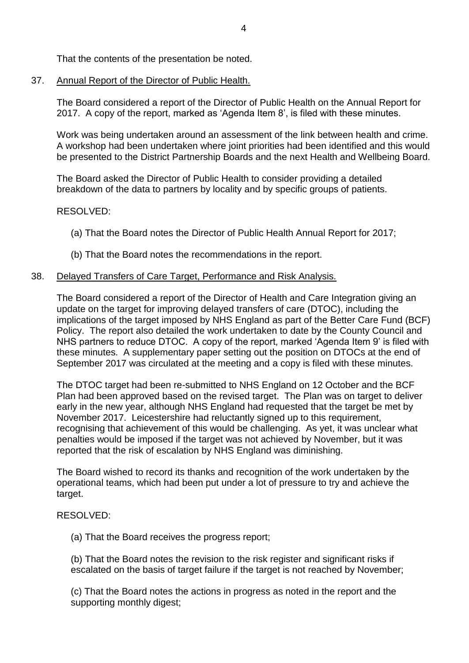That the contents of the presentation be noted.

37. Annual Report of the Director of Public Health.

The Board considered a report of the Director of Public Health on the Annual Report for 2017. A copy of the report, marked as 'Agenda Item 8', is filed with these minutes.

Work was being undertaken around an assessment of the link between health and crime. A workshop had been undertaken where joint priorities had been identified and this would be presented to the District Partnership Boards and the next Health and Wellbeing Board.

The Board asked the Director of Public Health to consider providing a detailed breakdown of the data to partners by locality and by specific groups of patients.

## RESOLVED:

- (a) That the Board notes the Director of Public Health Annual Report for 2017;
- (b) That the Board notes the recommendations in the report.

## 38. Delayed Transfers of Care Target, Performance and Risk Analysis.

The Board considered a report of the Director of Health and Care Integration giving an update on the target for improving delayed transfers of care (DTOC), including the implications of the target imposed by NHS England as part of the Better Care Fund (BCF) Policy. The report also detailed the work undertaken to date by the County Council and NHS partners to reduce DTOC. A copy of the report, marked 'Agenda Item 9' is filed with these minutes. A supplementary paper setting out the position on DTOCs at the end of September 2017 was circulated at the meeting and a copy is filed with these minutes.

The DTOC target had been re-submitted to NHS England on 12 October and the BCF Plan had been approved based on the revised target. The Plan was on target to deliver early in the new year, although NHS England had requested that the target be met by November 2017. Leicestershire had reluctantly signed up to this requirement, recognising that achievement of this would be challenging. As yet, it was unclear what penalties would be imposed if the target was not achieved by November, but it was reported that the risk of escalation by NHS England was diminishing.

The Board wished to record its thanks and recognition of the work undertaken by the operational teams, which had been put under a lot of pressure to try and achieve the target.

## RESOLVED:

(a) That the Board receives the progress report;

(b) That the Board notes the revision to the risk register and significant risks if escalated on the basis of target failure if the target is not reached by November;

(c) That the Board notes the actions in progress as noted in the report and the supporting monthly digest;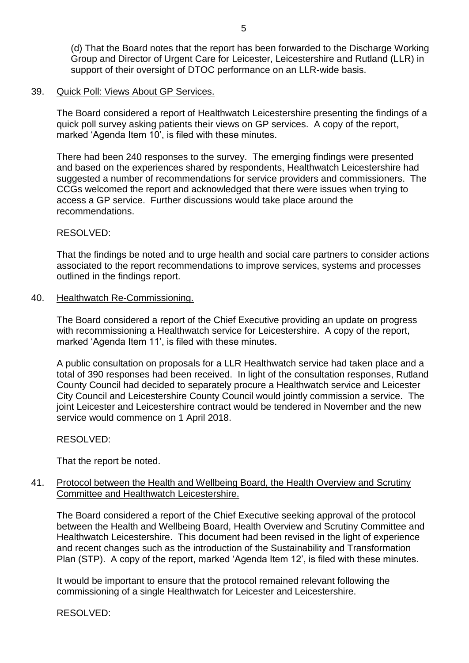(d) That the Board notes that the report has been forwarded to the Discharge Working Group and Director of Urgent Care for Leicester, Leicestershire and Rutland (LLR) in support of their oversight of DTOC performance on an LLR-wide basis.

#### 39. Quick Poll: Views About GP Services.

The Board considered a report of Healthwatch Leicestershire presenting the findings of a quick poll survey asking patients their views on GP services. A copy of the report, marked 'Agenda Item 10', is filed with these minutes.

There had been 240 responses to the survey. The emerging findings were presented and based on the experiences shared by respondents, Healthwatch Leicestershire had suggested a number of recommendations for service providers and commissioners. The CCGs welcomed the report and acknowledged that there were issues when trying to access a GP service. Further discussions would take place around the recommendations.

#### RESOLVED:

That the findings be noted and to urge health and social care partners to consider actions associated to the report recommendations to improve services, systems and processes outlined in the findings report.

### 40. Healthwatch Re-Commissioning.

The Board considered a report of the Chief Executive providing an update on progress with recommissioning a Healthwatch service for Leicestershire. A copy of the report, marked 'Agenda Item 11', is filed with these minutes.

A public consultation on proposals for a LLR Healthwatch service had taken place and a total of 390 responses had been received. In light of the consultation responses, Rutland County Council had decided to separately procure a Healthwatch service and Leicester City Council and Leicestershire County Council would jointly commission a service. The joint Leicester and Leicestershire contract would be tendered in November and the new service would commence on 1 April 2018.

#### RESOLVED:

That the report be noted.

## 41. Protocol between the Health and Wellbeing Board, the Health Overview and Scrutiny Committee and Healthwatch Leicestershire.

The Board considered a report of the Chief Executive seeking approval of the protocol between the Health and Wellbeing Board, Health Overview and Scrutiny Committee and Healthwatch Leicestershire. This document had been revised in the light of experience and recent changes such as the introduction of the Sustainability and Transformation Plan (STP). A copy of the report, marked 'Agenda Item 12', is filed with these minutes.

It would be important to ensure that the protocol remained relevant following the commissioning of a single Healthwatch for Leicester and Leicestershire.

RESOLVED: